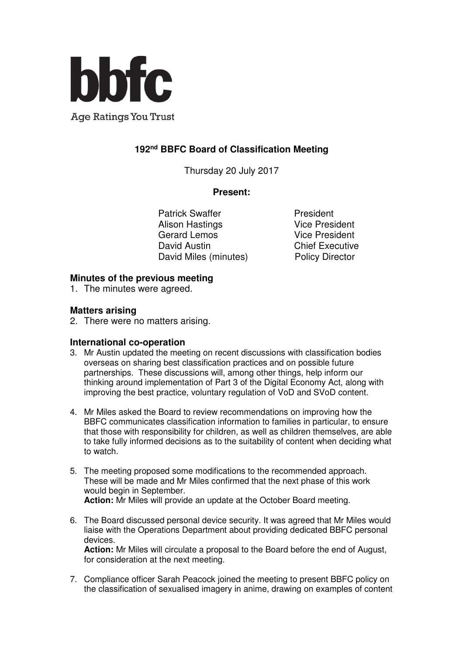

**Age Ratings You Trust** 

# **192nd BBFC Board of Classification Meeting**

Thursday 20 July 2017

#### **Present:**

Patrick Swaffer **President** Alison Hastings **Vice President** Gerard Lemos Vice President David Austin **Chief Executive** David Miles (minutes) Policy Director

### **Minutes of the previous meeting**

1. The minutes were agreed.

## **Matters arising**

2. There were no matters arising.

### **International co-operation**

- 3. Mr Austin updated the meeting on recent discussions with classification bodies overseas on sharing best classification practices and on possible future partnerships. These discussions will, among other things, help inform our thinking around implementation of Part 3 of the Digital Economy Act, along with improving the best practice, voluntary regulation of VoD and SVoD content.
- 4. Mr Miles asked the Board to review recommendations on improving how the BBFC communicates classification information to families in particular, to ensure that those with responsibility for children, as well as children themselves, are able to take fully informed decisions as to the suitability of content when deciding what to watch.
- 5. The meeting proposed some modifications to the recommended approach. These will be made and Mr Miles confirmed that the next phase of this work would begin in September. **Action:** Mr Miles will provide an update at the October Board meeting.
- 6. The Board discussed personal device security. It was agreed that Mr Miles would liaise with the Operations Department about providing dedicated BBFC personal devices. **Action:** Mr Miles will circulate a proposal to the Board before the end of August, for consideration at the next meeting.
- 7. Compliance officer Sarah Peacock joined the meeting to present BBFC policy on the classification of sexualised imagery in anime, drawing on examples of content